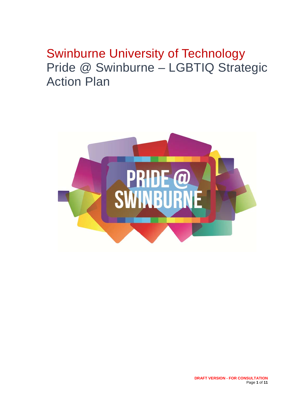# Swinburne University of Technology Pride @ Swinburne – LGBTIQ Strategic Action Plan

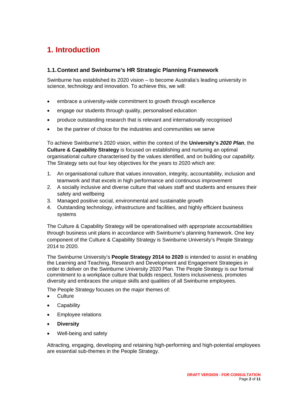# **1. Introduction**

## **1.1. Context and Swinburne's HR Strategic Planning Framework**

Swinburne has established its 2020 vision – to become Australia's leading university in science, technology and innovation. To achieve this, we will:

- embrace a university-wide commitment to growth through excellence
- engage our students through quality, personalised education
- produce outstanding research that is relevant and internationally recognised
- be the partner of choice for the industries and communities we serve

To achieve Swinburne's 2020 vision, within the context of the **University's** *2020 Plan*, the **Culture & Capability Strategy** is focused on establishing and nurturing an optimal organisational *culture* characterised by the values identified, and on building our *capability.* The Strategy sets out four key objectives for the years to 2020 which are:

- 1. An organisational culture that values innovation, integrity, accountability, inclusion and teamwork and that excels in high performance and continuous improvement
- 2. A socially inclusive and diverse culture that values staff and students and ensures their safety and wellbeing
- 3. Managed positive social, environmental and sustainable growth
- 4. Outstanding technology, infrastructure and facilities, and highly efficient business systems

The Culture & Capability Strategy will be operationalised with appropriate accountabilities through business unit plans in accordance with Swinburne's planning framework. One key component of the Culture & Capability Strategy is Swinburne University's People Strategy 2014 to 2020.

The Swinburne University's **People Strategy 2014 to 2020** is intended to assist in enabling the Learning and Teaching, Research and Development and Engagement Strategies in order to deliver on the Swinburne University 2020 Plan. The People Strategy is our formal commitment to a workplace culture that builds respect, fosters inclusiveness, promotes diversity and embraces the unique skills and qualities of all Swinburne employees.

The People Strategy focuses on the major themes of:

- Culture
- **•** Capability
- Employee relations
- **Diversity**
- Well-being and safety

Attracting, engaging, developing and retaining high-performing and high-potential employees are essential sub-themes in the People Strategy.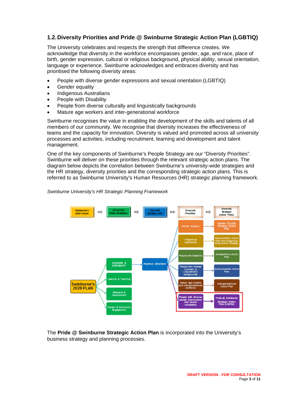## **1.2. Diversity Priorities and Pride @ Swinburne Strategic Action Plan (LGBTIQ)**

The University celebrates and respects the strength that difference creates. We acknowledge that diversity in the workforce encompasses gender, age, and race, place of birth, gender expression, cultural or religious background, physical ability, sexual orientation, language or experience. Swinburne acknowledges and embraces diversity and has prioritised the following diversity areas:

- People with diverse gender expressions and sexual orientation (LGBTIQ)
- **•** Gender equality
- Indigenous Australians
- People with Disability
- People from diverse culturally and linguistically backgrounds
- Mature age workers and inter-generational workforce

Swinburne recognises the value in enabling the development of the skills and talents of all members of our community. We recognise that diversity increases the effectiveness of teams and the capacity for innovation. Diversity is valued and promoted across all university processes and activities, including recruitment, learning and development and talent management.

One of the key components of Swinburne's People Strategy are our "Diversity Priorities". Swinburne will deliver on these priorities through the relevant strategic action plans. The diagram below depicts the correlation between Swinburne's university-wide strategies and the HR strategy, diversity priorities and the corresponding strategic action plans. This is referred to as Swinburne University's Human Resources (HR) strategic planning framework.

#### *Swinburne University's HR Strategic Planning Framework*



The **Pride @ Swinburne Strategic Action Plan** is incorporated into the University's business strategy and planning processes.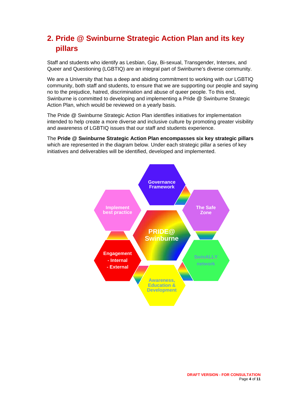# **2. Pride @ Swinburne Strategic Action Plan and its key pillars**

Staff and students who identify as Lesbian, Gay, Bi-sexual, Transgender, Intersex, and Queer and Questioning (LGBTIQ) are an integral part of Swinburne's diverse community.

We are a University that has a deep and abiding commitment to working with our LGBTIQ community, both staff and students, to ensure that we are supporting our people and saying no to the prejudice, hatred, discrimination and abuse of queer people. To this end, Swinburne is committed to developing and implementing a Pride @ Swinburne Strategic Action Plan, which would be reviewed on a yearly basis.

The Pride @ Swinburne Strategic Action Plan identifies initiatives for implementation intended to help create a more diverse and inclusive culture by promoting greater visibility and awareness of LGBTIQ issues that our staff and students experience.

The **Pride @ Swinburne Strategic Action Plan encompasses six key strategic pillars** which are represented in the diagram below. Under each strategic pillar a series of key initiatives and deliverables will be identified, developed and implemented.

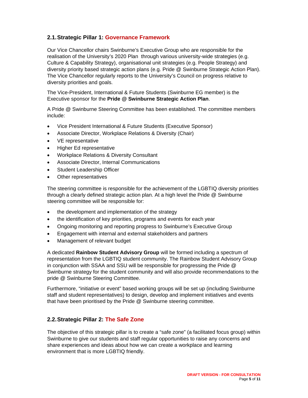# **2.1. Strategic Pillar 1: Governance Framework**

Our Vice Chancellor chairs Swinburne's Executive Group who are responsible for the realisation of the University's 2020 Plan through various university-wide strategies (e.g. Culture & Capability Strategy), organisational unit strategies (e.g. People Strategy) and diversity priority based strategic action plans (e.g. Pride @ Swinburne Strategic Action Plan). The Vice Chancellor regularly reports to the University's Council on progress relative to diversity priorities and goals.

The Vice-President, International & Future Students (Swinburne EG member) is the Executive sponsor for the **Pride @ Swinburne Strategic Action Plan**.

A Pride @ Swinburne Steering Committee has been established. The committee members include:

- Vice President International & Future Students (Executive Sponsor)
- Associate Director, Workplace Relations & Diversity (Chair)
- VE representative
- Higher Ed representative
- Workplace Relations & Diversity Consultant
- Associate Director, Internal Communications
- Student Leadership Officer
- Other representatives

The steering committee is responsible for the achievement of the LGBTIQ diversity priorities through a clearly defined strategic action plan. At a high level the Pride @ Swinburne steering committee will be responsible for:

- the development and implementation of the strategy
- the identification of key priorities, programs and events for each year
- Ongoing monitoring and reporting progress to Swinburne's Executive Group
- Engagement with internal and external stakeholders and partners
- Management of relevant budget

A dedicated **Rainbow Student Advisory Group** will be formed including a spectrum of representation from the LGBTIQ student community. The Rainbow Student Advisory Group in conjunction with SSAA and SSU will be responsible for progressing the Pride @ Swinburne strategy for the student community and will also provide recommendations to the pride @ Swinburne Steering Committee.

Furthermore, "initiative or event" based working groups will be set up (including Swinburne staff and student representatives) to design, develop and implement initiatives and events that have been prioritised by the Pride @ Swinburne steering committee.

#### **2.2. Strategic Pillar 2: The Safe Zone**

The objective of this strategic pillar is to create a "safe zone" (a facilitated focus group) within Swinburne to give our students and staff regular opportunities to raise any concerns and share experiences and ideas about how we can create a workplace and learning environment that is more LGBTIQ friendly.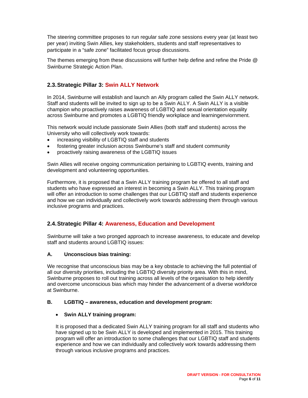The steering committee proposes to run regular safe zone sessions every year (at least two per year) inviting Swin Allies, key stakeholders, students and staff representatives to participate in a "safe zone" facilitated focus group discussions.

The themes emerging from these discussions will further help define and refine the Pride @ Swinburne Strategic Action Plan.

# **2.3. Strategic Pillar 3: Swin ALLY Network**

In 2014, Swinburne will establish and launch an Ally program called the Swin ALLY network. Staff and students will be invited to sign up to be a Swin ALLY. A Swin ALLY is a visible champion who proactively raises awareness of LGBTIQ and sexual orientation equality across Swinburne and promotes a LGBTIQ friendly workplace and learningenviornment.

This network would include passionate Swin Allies (both staff and students) across the University who will collectively work towards:

- increasing visibility of LGBTIQ staff and students
- fostering greater inclusion across Swinburne's staff and student community
- proactively raising awareness of the LGBTIQ issues

Swin Allies will receive ongoing communication pertaining to LGBTIQ events, training and development and volunteering opportunities.

Furthermore, it is proposed that a Swin ALLY training program be offered to all staff and students who have expressed an interest in becoming a Swin ALLY. This training program will offer an introduction to some challenges that our LGBTIQ staff and students experience and how we can individually and collectively work towards addressing them through various inclusive programs and practices.

# **2.4. Strategic Pillar 4: Awareness, Education and Development**

Swinburne will take a two pronged approach to increase awareness, to educate and develop staff and students around LGBTIQ issues:

#### **A. Unconscious bias training:**

We recognise that unconscious bias may be a key obstacle to achieving the full potential of all our diversity priorities, including the LGBTIQ diversity priority area. With this in mind, Swinburne proposes to roll out training across all levels of the organisation to help identify and overcome unconscious bias which may hinder the advancement of a diverse workforce at Swinburne.

#### **B. LGBTIQ – awareness, education and development program:**

#### **Swin ALLY training program:**

It is proposed that a dedicated Swin ALLY training program for all staff and students who have signed up to be Swin ALLY is developed and implemented in 2015. This training program will offer an introduction to some challenges that our LGBTIQ staff and students experience and how we can individually and collectively work towards addressing them through various inclusive programs and practices.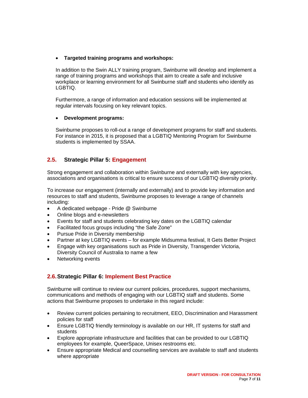#### **Targeted training programs and workshops:**

In addition to the Swin ALLY training program, Swinburne will develop and implement a range of training programs and workshops that aim to create a safe and inclusive workplace or learning environment for all Swinburne staff and students who identify as LGBTIQ.

Furthermore, a range of information and education sessions will be implemented at regular intervals focusing on key relevant topics.

#### **Development programs:**

Swinburne proposes to roll-out a range of development programs for staff and students. For instance in 2015, it is proposed that a LGBTIQ Mentoring Program for Swinburne students is implemented by SSAA.

### **2.5. Strategic Pillar 5: Engagement**

Strong engagement and collaboration within Swinburne and externally with key agencies, associations and organisations is critical to ensure success of our LGBTIQ diversity priority.

To increase our engagement (internally and externally) and to provide key information and resources to staff and students, Swinburne proposes to leverage a range of channels including:

- A dedicated webpage Pride @ Swinburne
- Online blogs and e-newsletters
- Events for staff and students celebrating key dates on the LGBTIQ calendar
- Facilitated focus groups including "the Safe Zone"
- Pursue Pride in Diversity membership
- Partner at key LGBTIQ events for example Midsumma festival, It Gets Better Project
- Engage with key organisations such as Pride in Diversity, Transgender Victoria, Diversity Council of Australia to name a few
- Networking events

# **2.6. Strategic Pillar 6: Implement Best Practice**

Swinburne will continue to review our current policies, procedures, support mechanisms, communications and methods of engaging with our LGBTIQ staff and students. Some actions that Swinburne proposes to undertake in this regard include:

- Review current policies pertaining to recruitment, EEO, Discrimination and Harassment policies for staff
- Ensure LGBTIQ friendly terminology is available on our HR, IT systems for staff and students
- Explore appropriate infrastructure and facilities that can be provided to our LGBTIQ employees for example, QueerSpace, Unisex restrooms etc.
- Ensure appropriate Medical and counselling services are available to staff and students where appropriate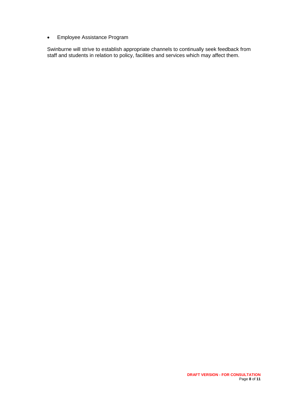Employee Assistance Program

Swinburne will strive to establish appropriate channels to continually seek feedback from staff and students in relation to policy, facilities and services which may affect them.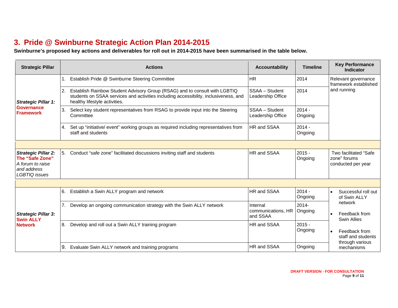# **3. Pride @ Swinburne Strategic Action Plan 2014-2015**

**Swinburne's proposed key actions and deliverables for roll out in 2014-2015 have been summarised in the table below.** 

| <b>Strategic Pillar</b>                                                                                  |                | <b>Actions</b>                                                                                                                                                                                      | <b>Accountability</b>                      | <b>Timeline</b>     | <b>Key Performance</b><br><b>Indicator</b>                  |
|----------------------------------------------------------------------------------------------------------|----------------|-----------------------------------------------------------------------------------------------------------------------------------------------------------------------------------------------------|--------------------------------------------|---------------------|-------------------------------------------------------------|
|                                                                                                          |                | Establish Pride @ Swinburne Steering Committee                                                                                                                                                      | <b>HR</b>                                  | 2014                | Relevant governance<br>framework established                |
| <b>Strategic Pillar 1:</b>                                                                               | 2.             | Establish Rainbow Student Advisory Group (RSAG) and to consult with LGBTIQ<br>students on SSAA services and activities including accessibility, inclusiveness, and<br>healthy lifestyle activities. | SSAA - Student<br>Leadership Office        | 2014                | and running                                                 |
| <b>Governance</b><br><b>Framework</b>                                                                    | 3.             | Select key student representatives from RSAG to provide input into the Steering<br>Committee                                                                                                        | SSAA - Student<br>Leadership Office        | $2014 -$<br>Ongoing |                                                             |
|                                                                                                          | 4.             | Set up "initiative/ event" working groups as required including representatives from<br>staff and students                                                                                          | HR and SSAA                                | $2014 -$<br>Ongoing |                                                             |
|                                                                                                          |                |                                                                                                                                                                                                     |                                            |                     |                                                             |
| <b>Strategic Pillar 2:</b><br>The "Safe Zone"<br>A forum to raise<br>and address<br><b>LGBTIO</b> issues | 5.             | Conduct "safe zone" facilitated discussions inviting staff and students                                                                                                                             | HR and SSAA                                | $2015 -$<br>Ongoing | Two facilitated "Safe<br>zone" forums<br>conducted per year |
|                                                                                                          |                |                                                                                                                                                                                                     |                                            |                     |                                                             |
|                                                                                                          | 6.             | Establish a Swin ALLY program and network                                                                                                                                                           | HR and SSAA                                | $2014 -$<br>Ongoing | Successful roll out<br>of Swin ALLY                         |
| <b>Strategic Pillar 3:</b><br><b>Swin ALLY</b>                                                           | 7 <sub>1</sub> | Develop an ongoing communication strategy with the Swin ALLY network                                                                                                                                | Internal<br>communications, HR<br>and SSAA | $2014 -$<br>Ongoing | network<br>Feedback from<br>Swin Allies                     |
| <b>Network</b>                                                                                           | 8.             | Develop and roll out a Swin ALLY training program                                                                                                                                                   | HR and SSAA                                | $2015 -$<br>Ongoing | Feedback from<br>staff and students<br>through various      |
|                                                                                                          | 9.             | Evaluate Swin ALLY network and training programs                                                                                                                                                    | HR and SSAA                                | Ongoing             | mechanisms                                                  |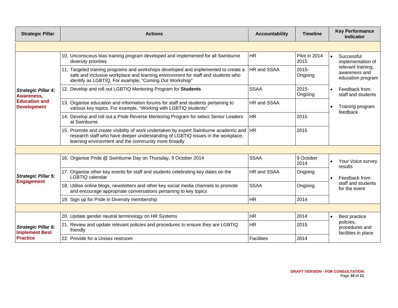| <b>Strategic Pillar</b>                             | <b>Actions</b>                                                                                                                                                                                                                       | <b>Accountability</b> | <b>Timeline</b>       | <b>Key Performance</b><br><b>Indicator</b>               |
|-----------------------------------------------------|--------------------------------------------------------------------------------------------------------------------------------------------------------------------------------------------------------------------------------------|-----------------------|-----------------------|----------------------------------------------------------|
|                                                     |                                                                                                                                                                                                                                      |                       |                       |                                                          |
|                                                     | 10. Unconscious bias training program developed and implemented for all Swinburne<br>diversity priorities                                                                                                                            | <b>HR</b>             | Pilot in 2014<br>2015 | Successful<br>implementation of                          |
|                                                     | 11. Targeted training programs and workshops developed and implemented to create a<br>safe and inclusive workplace and learning environment for staff and students who<br>identify as LGBTIQ. For example, "Coming Out Workshop"     | HR and SSAA           | $2015 -$<br>Ongoing   | relevant training,<br>awareness and<br>education program |
| <b>Strategic Pillar 4:</b><br>Awareness,            | 12. Develop and roll out LGBTIQ Mentoring Program for Students                                                                                                                                                                       | <b>SSAA</b>           | $2015 -$<br>Ongoing   | Feedback from<br>staff and students                      |
| <b>Education and</b><br><b>Development</b>          | 13. Organise education and information forums for staff and students pertaining to<br>various key topics. For example, "Working with LGBTIQ students"                                                                                | HR and SSAA           |                       | Training program<br>feedback                             |
|                                                     | 14. Develop and roll out a Pride Reverse Mentoring Program for select Senior Leaders<br>at Swinburne                                                                                                                                 | <b>HR</b>             | 2015                  |                                                          |
|                                                     | 15. Promote and create visibility of work undertaken by expert Swinburne academic and   HR<br>research staff who have deeper understanding of LGBTIQ issues in the workplace,<br>learning environment and the community more broadly |                       | 2015                  |                                                          |
|                                                     |                                                                                                                                                                                                                                      |                       |                       |                                                          |
|                                                     | 16. Organise Pride @ Swinburne Day on Thursday, 9 October 2014                                                                                                                                                                       | <b>SSAA</b>           | 9 October<br>2014     | Your Voice survey<br>results                             |
| <b>Strategic Pillar 5:</b>                          | 17. Organise other key events for staff and students celebrating key dates on the<br>LGBTIQ calendar                                                                                                                                 | HR and SSAA           | Ongoing               | Feedback from                                            |
| <b>Engagement</b>                                   | 18. Utilise online blogs, newsletters and other key social media channels to promote<br>and encourage appropriate conversations pertaining to key topics                                                                             | <b>SSAA</b>           | Ongoing               | staff and students<br>for the event                      |
|                                                     | 19. Sign up for Pride in Diversity membership                                                                                                                                                                                        | <b>HR</b>             | 2014                  |                                                          |
|                                                     |                                                                                                                                                                                                                                      |                       |                       |                                                          |
|                                                     | 20. Update gender neutral terminology on HR Systems                                                                                                                                                                                  | <b>HR</b>             | 2014                  | Best practice                                            |
| <b>Strategic Pillar 6:</b><br><b>Implement Best</b> | 21. Review and update relevant policies and procedures to ensure they are LGBTIQ<br>friendly                                                                                                                                         | <b>HR</b>             | 2015                  | policies,<br>procedures and<br>facilities in place       |
| <b>Practice</b>                                     | 22. Provide for a Unisex restroom                                                                                                                                                                                                    | <b>Facilities</b>     | 2014                  |                                                          |